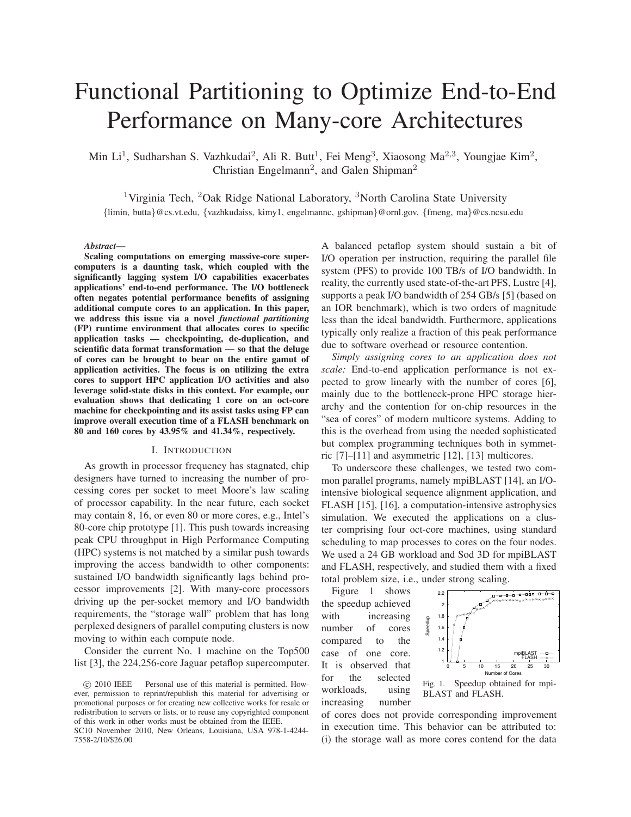# Functional Partitioning to Optimize End-to-End Performance on Many-core Architectures

Min Li<sup>1</sup>, Sudharshan S. Vazhkudai<sup>2</sup>, Ali R. Butt<sup>1</sup>, Fei Meng<sup>3</sup>, Xiaosong Ma<sup>2,3</sup>, Youngjae Kim<sup>2</sup>, Christian Engelmann<sup>2</sup>, and Galen Shipman<sup>2</sup>

<sup>1</sup>Virginia Tech, <sup>2</sup>Oak Ridge National Laboratory, <sup>3</sup>North Carolina State University

{limin, butta}@cs.vt.edu, {vazhkudaiss, kimy1, engelmannc, gshipman}@ornl.gov, {fmeng, ma}@cs.ncsu.edu

# *Abstract***—**

**Scaling computations on emerging massive-core supercomputers is a daunting task, which coupled with the significantly lagging system I/O capabilities exacerbates applications' end-to-end performance. The I/O bottleneck often negates potential performance benefits of assigning additional compute cores to an application. In this paper, we address this issue via a novel** *functional partitioning* **(FP) runtime environment that allocates cores to specific application tasks — checkpointing, de-duplication, and scientific data format transformation — so that the deluge of cores can be brought to bear on the entire gamut of application activities. The focus is on utilizing the extra cores to support HPC application I/O activities and also leverage solid-state disks in this context. For example, our evaluation shows that dedicating 1 core on an oct-core machine for checkpointing and its assist tasks using FP can improve overall execution time of a FLASH benchmark on 80 and 160 cores by 43.95% and 41.34%, respectively.**

# I. INTRODUCTION

As growth in processor frequency has stagnated, chip designers have turned to increasing the number of processing cores per socket to meet Moore's law scaling of processor capability. In the near future, each socket may contain 8, 16, or even 80 or more cores, e.g., Intel's 80-core chip prototype [1]. This push towards increasing peak CPU throughput in High Performance Computing (HPC) systems is not matched by a similar push towards improving the access bandwidth to other components: sustained I/O bandwidth significantly lags behind processor improvements [2]. With many-core processors driving up the per-socket memory and I/O bandwidth requirements, the "storage wall" problem that has long perplexed designers of parallel computing clusters is now moving to within each compute node.

Consider the current No. 1 machine on the Top500 list [3], the 224,256-core Jaguar petaflop supercomputer.

A balanced petaflop system should sustain a bit of I/O operation per instruction, requiring the parallel file system (PFS) to provide 100 TB/s of I/O bandwidth. In reality, the currently used state-of-the-art PFS, Lustre [4], supports a peak I/O bandwidth of 254 GB/s [5] (based on an IOR benchmark), which is two orders of magnitude less than the ideal bandwidth. Furthermore, applications typically only realize a fraction of this peak performance due to software overhead or resource contention.

*Simply assigning cores to an application does not scale:* End-to-end application performance is not expected to grow linearly with the number of cores [6], mainly due to the bottleneck-prone HPC storage hierarchy and the contention for on-chip resources in the "sea of cores" of modern multicore systems. Adding to this is the overhead from using the needed sophisticated but complex programming techniques both in symmetric [7]–[11] and asymmetric [12], [13] multicores.

To underscore these challenges, we tested two common parallel programs, namely mpiBLAST [14], an I/Ointensive biological sequence alignment application, and FLASH [15], [16], a computation-intensive astrophysics simulation. We executed the applications on a cluster comprising four oct-core machines, using standard scheduling to map processes to cores on the four nodes. We used a 24 GB workload and Sod 3D for mpiBLAST and FLASH, respectively, and studied them with a fixed total problem size, i.e., under strong scaling.

Figure 1 shows the speedup achieved with increasing number of cores compared to the case of one core. It is observed that for the selected workloads, using increasing number



Fig. 1. Speedup obtained for mpi-BLAST and FLASH.

of cores does not provide corresponding improvement in execution time. This behavior can be attributed to: (i) the storage wall as more cores contend for the data

c 2010 IEEE Personal use of this material is permitted. However, permission to reprint/republish this material for advertising or promotional purposes or for creating new collective works for resale or redistribution to servers or lists, or to reuse any copyrighted component of this work in other works must be obtained from the IEEE.

SC10 November 2010, New Orleans, Louisiana, USA 978-1-4244- 7558-2/10/\$26.00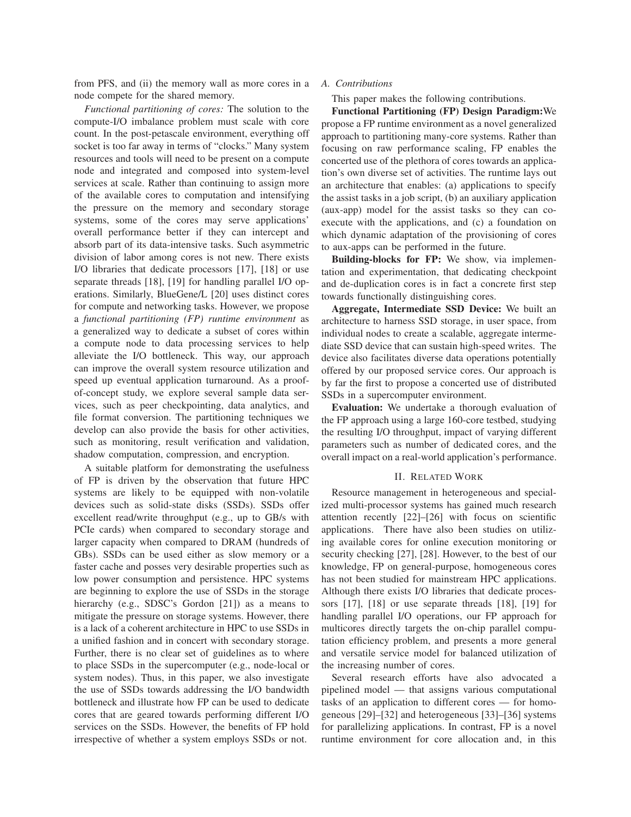from PFS, and (ii) the memory wall as more cores in a node compete for the shared memory.

*Functional partitioning of cores:* The solution to the compute-I/O imbalance problem must scale with core count. In the post-petascale environment, everything off socket is too far away in terms of "clocks." Many system resources and tools will need to be present on a compute node and integrated and composed into system-level services at scale. Rather than continuing to assign more of the available cores to computation and intensifying the pressure on the memory and secondary storage systems, some of the cores may serve applications' overall performance better if they can intercept and absorb part of its data-intensive tasks. Such asymmetric division of labor among cores is not new. There exists I/O libraries that dedicate processors [17], [18] or use separate threads [18], [19] for handling parallel I/O operations. Similarly, BlueGene/L [20] uses distinct cores for compute and networking tasks. However, we propose a *functional partitioning (FP) runtime environment* as a generalized way to dedicate a subset of cores within a compute node to data processing services to help alleviate the I/O bottleneck. This way, our approach can improve the overall system resource utilization and speed up eventual application turnaround. As a proofof-concept study, we explore several sample data services, such as peer checkpointing, data analytics, and file format conversion. The partitioning techniques we develop can also provide the basis for other activities, such as monitoring, result verification and validation, shadow computation, compression, and encryption.

A suitable platform for demonstrating the usefulness of FP is driven by the observation that future HPC systems are likely to be equipped with non-volatile devices such as solid-state disks (SSDs). SSDs offer excellent read/write throughput (e.g., up to GB/s with PCIe cards) when compared to secondary storage and larger capacity when compared to DRAM (hundreds of GBs). SSDs can be used either as slow memory or a faster cache and posses very desirable properties such as low power consumption and persistence. HPC systems are beginning to explore the use of SSDs in the storage hierarchy (e.g., SDSC's Gordon [21]) as a means to mitigate the pressure on storage systems. However, there is a lack of a coherent architecture in HPC to use SSDs in a unified fashion and in concert with secondary storage. Further, there is no clear set of guidelines as to where to place SSDs in the supercomputer (e.g., node-local or system nodes). Thus, in this paper, we also investigate the use of SSDs towards addressing the I/O bandwidth bottleneck and illustrate how FP can be used to dedicate cores that are geared towards performing different I/O services on the SSDs. However, the benefits of FP hold irrespective of whether a system employs SSDs or not.

#### *A. Contributions*

This paper makes the following contributions.

**Functional Partitioning (FP) Design Paradigm:**We propose a FP runtime environment as a novel generalized approach to partitioning many-core systems. Rather than focusing on raw performance scaling, FP enables the concerted use of the plethora of cores towards an application's own diverse set of activities. The runtime lays out an architecture that enables: (a) applications to specify the assist tasks in a job script, (b) an auxiliary application (aux-app) model for the assist tasks so they can coexecute with the applications, and (c) a foundation on which dynamic adaptation of the provisioning of cores to aux-apps can be performed in the future.

**Building-blocks for FP:** We show, via implementation and experimentation, that dedicating checkpoint and de-duplication cores is in fact a concrete first step towards functionally distinguishing cores.

**Aggregate, Intermediate SSD Device:** We built an architecture to harness SSD storage, in user space, from individual nodes to create a scalable, aggregate intermediate SSD device that can sustain high-speed writes. The device also facilitates diverse data operations potentially offered by our proposed service cores. Our approach is by far the first to propose a concerted use of distributed SSDs in a supercomputer environment.

**Evaluation:** We undertake a thorough evaluation of the FP approach using a large 160-core testbed, studying the resulting I/O throughput, impact of varying different parameters such as number of dedicated cores, and the overall impact on a real-world application's performance.

# II. RELATED WORK

Resource management in heterogeneous and specialized multi-processor systems has gained much research attention recently [22]–[26] with focus on scientific applications. There have also been studies on utilizing available cores for online execution monitoring or security checking [27], [28]. However, to the best of our knowledge, FP on general-purpose, homogeneous cores has not been studied for mainstream HPC applications. Although there exists I/O libraries that dedicate processors [17], [18] or use separate threads [18], [19] for handling parallel I/O operations, our FP approach for multicores directly targets the on-chip parallel computation efficiency problem, and presents a more general and versatile service model for balanced utilization of the increasing number of cores.

Several research efforts have also advocated a pipelined model — that assigns various computational tasks of an application to different cores — for homogeneous [29]–[32] and heterogeneous [33]–[36] systems for parallelizing applications. In contrast, FP is a novel runtime environment for core allocation and, in this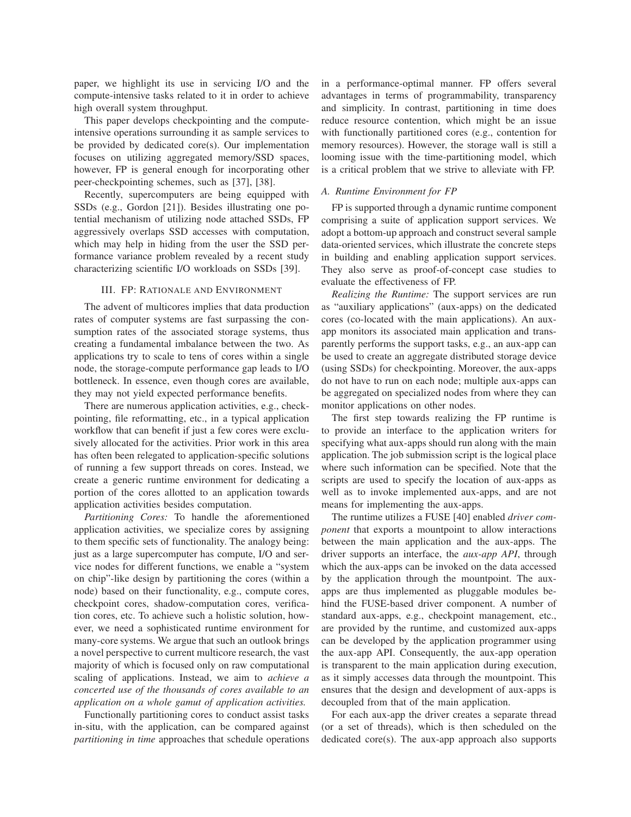paper, we highlight its use in servicing I/O and the compute-intensive tasks related to it in order to achieve high overall system throughput.

This paper develops checkpointing and the computeintensive operations surrounding it as sample services to be provided by dedicated core(s). Our implementation focuses on utilizing aggregated memory/SSD spaces, however, FP is general enough for incorporating other peer-checkpointing schemes, such as [37], [38].

Recently, supercomputers are being equipped with SSDs (e.g., Gordon [21]). Besides illustrating one potential mechanism of utilizing node attached SSDs, FP aggressively overlaps SSD accesses with computation, which may help in hiding from the user the SSD performance variance problem revealed by a recent study characterizing scientific I/O workloads on SSDs [39].

# III. FP: RATIONALE AND ENVIRONMENT

The advent of multicores implies that data production rates of computer systems are fast surpassing the consumption rates of the associated storage systems, thus creating a fundamental imbalance between the two. As applications try to scale to tens of cores within a single node, the storage-compute performance gap leads to I/O bottleneck. In essence, even though cores are available, they may not yield expected performance benefits.

There are numerous application activities, e.g., checkpointing, file reformatting, etc., in a typical application workflow that can benefit if just a few cores were exclusively allocated for the activities. Prior work in this area has often been relegated to application-specific solutions of running a few support threads on cores. Instead, we create a generic runtime environment for dedicating a portion of the cores allotted to an application towards application activities besides computation.

*Partitioning Cores:* To handle the aforementioned application activities, we specialize cores by assigning to them specific sets of functionality. The analogy being: just as a large supercomputer has compute, I/O and service nodes for different functions, we enable a "system on chip"-like design by partitioning the cores (within a node) based on their functionality, e.g., compute cores, checkpoint cores, shadow-computation cores, verification cores, etc. To achieve such a holistic solution, however, we need a sophisticated runtime environment for many-core systems. We argue that such an outlook brings a novel perspective to current multicore research, the vast majority of which is focused only on raw computational scaling of applications. Instead, we aim to *achieve a concerted use of the thousands of cores available to an application on a whole gamut of application activities.*

Functionally partitioning cores to conduct assist tasks in-situ, with the application, can be compared against *partitioning in time* approaches that schedule operations in a performance-optimal manner. FP offers several advantages in terms of programmability, transparency and simplicity. In contrast, partitioning in time does reduce resource contention, which might be an issue with functionally partitioned cores (e.g., contention for memory resources). However, the storage wall is still a looming issue with the time-partitioning model, which is a critical problem that we strive to alleviate with FP.

# *A. Runtime Environment for FP*

FP is supported through a dynamic runtime component comprising a suite of application support services. We adopt a bottom-up approach and construct several sample data-oriented services, which illustrate the concrete steps in building and enabling application support services. They also serve as proof-of-concept case studies to evaluate the effectiveness of FP.

*Realizing the Runtime:* The support services are run as "auxiliary applications" (aux-apps) on the dedicated cores (co-located with the main applications). An auxapp monitors its associated main application and transparently performs the support tasks, e.g., an aux-app can be used to create an aggregate distributed storage device (using SSDs) for checkpointing. Moreover, the aux-apps do not have to run on each node; multiple aux-apps can be aggregated on specialized nodes from where they can monitor applications on other nodes.

The first step towards realizing the FP runtime is to provide an interface to the application writers for specifying what aux-apps should run along with the main application. The job submission script is the logical place where such information can be specified. Note that the scripts are used to specify the location of aux-apps as well as to invoke implemented aux-apps, and are not means for implementing the aux-apps.

The runtime utilizes a FUSE [40] enabled *driver component* that exports a mountpoint to allow interactions between the main application and the aux-apps. The driver supports an interface, the *aux-app API*, through which the aux-apps can be invoked on the data accessed by the application through the mountpoint. The auxapps are thus implemented as pluggable modules behind the FUSE-based driver component. A number of standard aux-apps, e.g., checkpoint management, etc., are provided by the runtime, and customized aux-apps can be developed by the application programmer using the aux-app API. Consequently, the aux-app operation is transparent to the main application during execution, as it simply accesses data through the mountpoint. This ensures that the design and development of aux-apps is decoupled from that of the main application.

For each aux-app the driver creates a separate thread (or a set of threads), which is then scheduled on the dedicated core(s). The aux-app approach also supports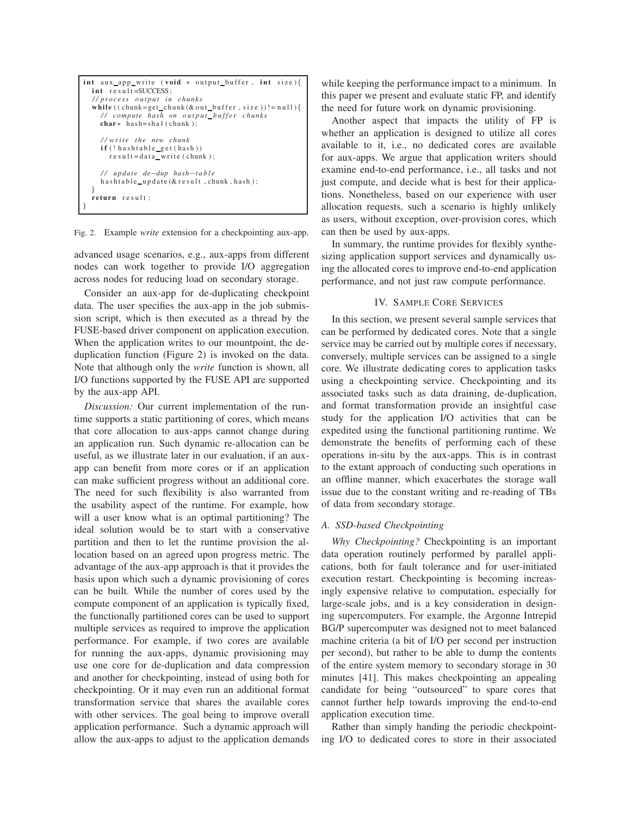```
int aux_app_write (void * output_buffer, int size){<br>int result=SUCCESS;
  / / p r o c e s s o u t p u t i n c h u n k s
   while ((chunk=get{\_}chunk(&\&\!out{\_}buffer, size))!=null){/ / c om p ute h a s h on o u t p u t b u f f e r c h u n k s
     char* has h=shal(chunk):
      / / w r i t e t h e new c h u nk
      \textbf{if}(\text{!} \text{hashtable\_get}(\text{hash}))result = data write (chunk):
      / / u p d at e de−dup hash−t a b l e
     h a sh t a b l e _u p d a t e (& r e s u l t , chunk, h a sh);
   }
   return result;
}
```
Fig. 2. Example *write* extension for a checkpointing aux-app.

advanced usage scenarios, e.g., aux-apps from different nodes can work together to provide I/O aggregation across nodes for reducing load on secondary storage.

Consider an aux-app for de-duplicating checkpoint data. The user specifies the aux-app in the job submission script, which is then executed as a thread by the FUSE-based driver component on application execution. When the application writes to our mountpoint, the deduplication function (Figure 2) is invoked on the data. Note that although only the *write* function is shown, all I/O functions supported by the FUSE API are supported by the aux-app API.

*Discussion:* Our current implementation of the runtime supports a static partitioning of cores, which means that core allocation to aux-apps cannot change during an application run. Such dynamic re-allocation can be useful, as we illustrate later in our evaluation, if an auxapp can benefit from more cores or if an application can make sufficient progress without an additional core. The need for such flexibility is also warranted from the usability aspect of the runtime. For example, how will a user know what is an optimal partitioning? The ideal solution would be to start with a conservative partition and then to let the runtime provision the allocation based on an agreed upon progress metric. The advantage of the aux-app approach is that it provides the basis upon which such a dynamic provisioning of cores can be built. While the number of cores used by the compute component of an application is typically fixed, the functionally partitioned cores can be used to support multiple services as required to improve the application performance. For example, if two cores are available for running the aux-apps, dynamic provisioning may use one core for de-duplication and data compression and another for checkpointing, instead of using both for checkpointing. Or it may even run an additional format transformation service that shares the available cores with other services. The goal being to improve overall application performance. Such a dynamic approach will allow the aux-apps to adjust to the application demands

while keeping the performance impact to a minimum. In this paper we present and evaluate static FP, and identify the need for future work on dynamic provisioning.

Another aspect that impacts the utility of FP is whether an application is designed to utilize all cores available to it, i.e., no dedicated cores are available for aux-apps. We argue that application writers should examine end-to-end performance, i.e., all tasks and not just compute, and decide what is best for their applications. Nonetheless, based on our experience with user allocation requests, such a scenario is highly unlikely as users, without exception, over-provision cores, which can then be used by aux-apps.

In summary, the runtime provides for flexibly synthesizing application support services and dynamically using the allocated cores to improve end-to-end application performance, and not just raw compute performance.

#### IV. SAMPLE CORE SERVICES

In this section, we present several sample services that can be performed by dedicated cores. Note that a single service may be carried out by multiple cores if necessary, conversely, multiple services can be assigned to a single core. We illustrate dedicating cores to application tasks using a checkpointing service. Checkpointing and its associated tasks such as data draining, de-duplication, and format transformation provide an insightful case study for the application I/O activities that can be expedited using the functional partitioning runtime. We demonstrate the benefits of performing each of these operations in-situ by the aux-apps. This is in contrast to the extant approach of conducting such operations in an offline manner, which exacerbates the storage wall issue due to the constant writing and re-reading of TBs of data from secondary storage.

# *A. SSD-based Checkpointing*

*Why Checkpointing?* Checkpointing is an important data operation routinely performed by parallel applications, both for fault tolerance and for user-initiated execution restart. Checkpointing is becoming increasingly expensive relative to computation, especially for large-scale jobs, and is a key consideration in designing supercomputers. For example, the Argonne Intrepid BG/P supercomputer was designed not to meet balanced machine criteria (a bit of I/O per second per instruction per second), but rather to be able to dump the contents of the entire system memory to secondary storage in 30 minutes [41]. This makes checkpointing an appealing candidate for being "outsourced" to spare cores that cannot further help towards improving the end-to-end application execution time.

Rather than simply handing the periodic checkpointing I/O to dedicated cores to store in their associated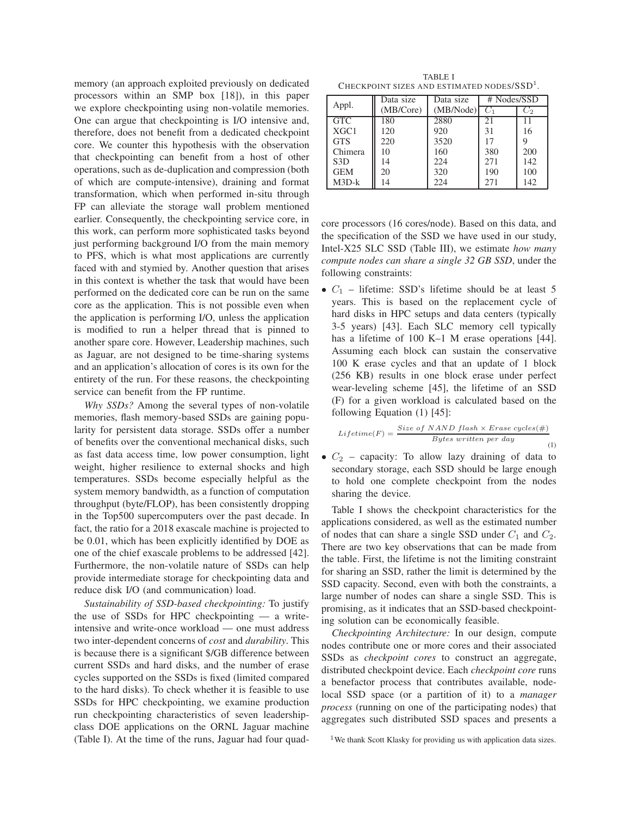memory (an approach exploited previously on dedicated processors within an SMP box [18]), in this paper we explore checkpointing using non-volatile memories. One can argue that checkpointing is I/O intensive and, therefore, does not benefit from a dedicated checkpoint core. We counter this hypothesis with the observation that checkpointing can benefit from a host of other operations, such as de-duplication and compression (both of which are compute-intensive), draining and format transformation, which when performed in-situ through FP can alleviate the storage wall problem mentioned earlier. Consequently, the checkpointing service core, in this work, can perform more sophisticated tasks beyond just performing background I/O from the main memory to PFS, which is what most applications are currently faced with and stymied by. Another question that arises in this context is whether the task that would have been performed on the dedicated core can be run on the same core as the application. This is not possible even when the application is performing I/O, unless the application is modified to run a helper thread that is pinned to another spare core. However, Leadership machines, such as Jaguar, are not designed to be time-sharing systems and an application's allocation of cores is its own for the entirety of the run. For these reasons, the checkpointing service can benefit from the FP runtime.

*Why SSDs?* Among the several types of non-volatile memories, flash memory-based SSDs are gaining popularity for persistent data storage. SSDs offer a number of benefits over the conventional mechanical disks, such as fast data access time, low power consumption, light weight, higher resilience to external shocks and high temperatures. SSDs become especially helpful as the system memory bandwidth, as a function of computation throughput (byte/FLOP), has been consistently dropping in the Top500 supercomputers over the past decade. In fact, the ratio for a 2018 exascale machine is projected to be 0.01, which has been explicitly identified by DOE as one of the chief exascale problems to be addressed [42]. Furthermore, the non-volatile nature of SSDs can help provide intermediate storage for checkpointing data and reduce disk I/O (and communication) load.

*Sustainability of SSD-based checkpointing:* To justify the use of SSDs for HPC checkpointing — a writeintensive and write-once workload — one must address two inter-dependent concerns of *cost* and *durability*. This is because there is a significant \$/GB difference between current SSDs and hard disks, and the number of erase cycles supported on the SSDs is fixed (limited compared to the hard disks). To check whether it is feasible to use SSDs for HPC checkpointing, we examine production run checkpointing characteristics of seven leadershipclass DOE applications on the ORNL Jaguar machine (Table I). At the time of the runs, Jaguar had four quad-

TABLE I CHECKPOINT SIZES AND ESTIMATED NODES/SSD<sup>1</sup>.

| Appl.            | Data size | Data size | # Nodes/SSD |       |
|------------------|-----------|-----------|-------------|-------|
|                  | (MB/Core) | (MB/Node) | $C_1$       | $C_2$ |
| <b>GTC</b>       | 180       | 2880      | 21          | 11    |
| XGC1             | 120       | 920       | 31          | 16    |
| <b>GTS</b>       | 220       | 3520      | 17          |       |
| Chimera          | 10        | 160       | 380         | 200   |
| S <sub>3</sub> D | 14        | 224       | 271         | 142   |
| <b>GEM</b>       | 20        | 320       | 190         | 100   |
| $M3D-k$          | 14        | 224       | 271         | 142   |

core processors (16 cores/node). Based on this data, and the specification of the SSD we have used in our study, Intel-X25 SLC SSD (Table III), we estimate *how many compute nodes can share a single 32 GB SSD*, under the following constraints:

•  $C_1$  – lifetime: SSD's lifetime should be at least 5 years. This is based on the replacement cycle of hard disks in HPC setups and data centers (typically 3-5 years) [43]. Each SLC memory cell typically has a lifetime of 100 K–1 M erase operations [44]. Assuming each block can sustain the conservative 100 K erase cycles and that an update of 1 block (256 KB) results in one block erase under perfect wear-leveling scheme [45], the lifetime of an SSD (F) for a given workload is calculated based on the following Equation (1) [45]:

$$
Lifetime(F) = \frac{Size\ of\ NAND\ flash \times Erase\ cycles(\#)}{Bytes\ written\ per\ day} \tag{1}
$$

•  $C_2$  – capacity: To allow lazy draining of data to secondary storage, each SSD should be large enough to hold one complete checkpoint from the nodes sharing the device.

Table I shows the checkpoint characteristics for the applications considered, as well as the estimated number of nodes that can share a single SSD under  $C_1$  and  $C_2$ . There are two key observations that can be made from the table. First, the lifetime is not the limiting constraint for sharing an SSD, rather the limit is determined by the SSD capacity. Second, even with both the constraints, a large number of nodes can share a single SSD. This is promising, as it indicates that an SSD-based checkpointing solution can be economically feasible.

*Checkpointing Architecture:* In our design, compute nodes contribute one or more cores and their associated SSDs as *checkpoint cores* to construct an aggregate, distributed checkpoint device. Each *checkpoint core* runs a benefactor process that contributes available, nodelocal SSD space (or a partition of it) to a *manager process* (running on one of the participating nodes) that aggregates such distributed SSD spaces and presents a

<sup>&</sup>lt;sup>1</sup>We thank Scott Klasky for providing us with application data sizes.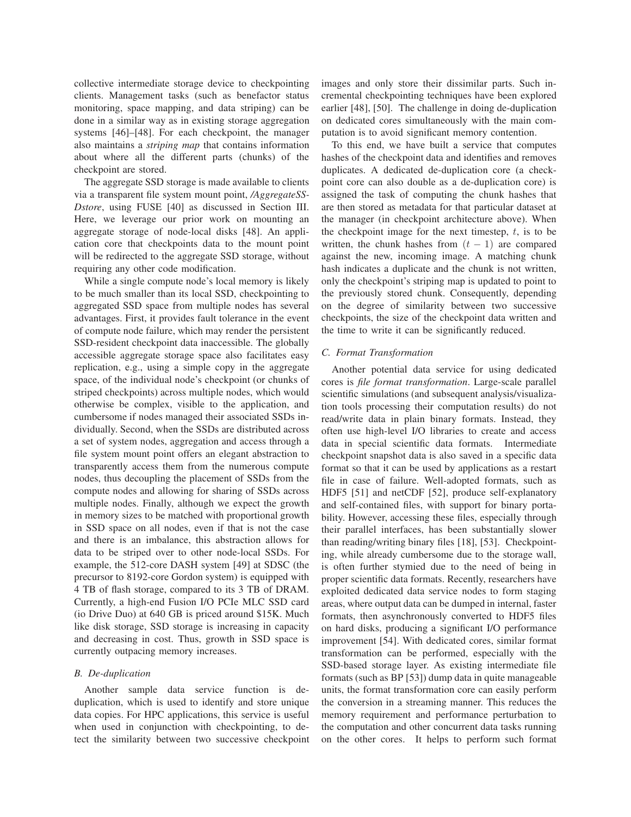collective intermediate storage device to checkpointing clients. Management tasks (such as benefactor status monitoring, space mapping, and data striping) can be done in a similar way as in existing storage aggregation systems [46]–[48]. For each checkpoint, the manager also maintains a *striping map* that contains information about where all the different parts (chunks) of the checkpoint are stored.

The aggregate SSD storage is made available to clients via a transparent file system mount point, */AggregateSS-Dstore*, using FUSE [40] as discussed in Section III. Here, we leverage our prior work on mounting an aggregate storage of node-local disks [48]. An application core that checkpoints data to the mount point will be redirected to the aggregate SSD storage, without requiring any other code modification.

While a single compute node's local memory is likely to be much smaller than its local SSD, checkpointing to aggregated SSD space from multiple nodes has several advantages. First, it provides fault tolerance in the event of compute node failure, which may render the persistent SSD-resident checkpoint data inaccessible. The globally accessible aggregate storage space also facilitates easy replication, e.g., using a simple copy in the aggregate space, of the individual node's checkpoint (or chunks of striped checkpoints) across multiple nodes, which would otherwise be complex, visible to the application, and cumbersome if nodes managed their associated SSDs individually. Second, when the SSDs are distributed across a set of system nodes, aggregation and access through a file system mount point offers an elegant abstraction to transparently access them from the numerous compute nodes, thus decoupling the placement of SSDs from the compute nodes and allowing for sharing of SSDs across multiple nodes. Finally, although we expect the growth in memory sizes to be matched with proportional growth in SSD space on all nodes, even if that is not the case and there is an imbalance, this abstraction allows for data to be striped over to other node-local SSDs. For example, the 512-core DASH system [49] at SDSC (the precursor to 8192-core Gordon system) is equipped with 4 TB of flash storage, compared to its 3 TB of DRAM. Currently, a high-end Fusion I/O PCIe MLC SSD card (io Drive Duo) at 640 GB is priced around \$15K. Much like disk storage, SSD storage is increasing in capacity and decreasing in cost. Thus, growth in SSD space is currently outpacing memory increases.

# *B. De-duplication*

Another sample data service function is deduplication, which is used to identify and store unique data copies. For HPC applications, this service is useful when used in conjunction with checkpointing, to detect the similarity between two successive checkpoint images and only store their dissimilar parts. Such incremental checkpointing techniques have been explored earlier [48], [50]. The challenge in doing de-duplication on dedicated cores simultaneously with the main computation is to avoid significant memory contention.

To this end, we have built a service that computes hashes of the checkpoint data and identifies and removes duplicates. A dedicated de-duplication core (a checkpoint core can also double as a de-duplication core) is assigned the task of computing the chunk hashes that are then stored as metadata for that particular dataset at the manager (in checkpoint architecture above). When the checkpoint image for the next timestep,  $t$ , is to be written, the chunk hashes from  $(t - 1)$  are compared against the new, incoming image. A matching chunk hash indicates a duplicate and the chunk is not written, only the checkpoint's striping map is updated to point to the previously stored chunk. Consequently, depending on the degree of similarity between two successive checkpoints, the size of the checkpoint data written and the time to write it can be significantly reduced.

#### *C. Format Transformation*

Another potential data service for using dedicated cores is *file format transformation*. Large-scale parallel scientific simulations (and subsequent analysis/visualization tools processing their computation results) do not read/write data in plain binary formats. Instead, they often use high-level I/O libraries to create and access data in special scientific data formats. Intermediate checkpoint snapshot data is also saved in a specific data format so that it can be used by applications as a restart file in case of failure. Well-adopted formats, such as HDF5 [51] and netCDF [52], produce self-explanatory and self-contained files, with support for binary portability. However, accessing these files, especially through their parallel interfaces, has been substantially slower than reading/writing binary files [18], [53]. Checkpointing, while already cumbersome due to the storage wall, is often further stymied due to the need of being in proper scientific data formats. Recently, researchers have exploited dedicated data service nodes to form staging areas, where output data can be dumped in internal, faster formats, then asynchronously converted to HDF5 files on hard disks, producing a significant I/O performance improvement [54]. With dedicated cores, similar format transformation can be performed, especially with the SSD-based storage layer. As existing intermediate file formats (such as BP [53]) dump data in quite manageable units, the format transformation core can easily perform the conversion in a streaming manner. This reduces the memory requirement and performance perturbation to the computation and other concurrent data tasks running on the other cores. It helps to perform such format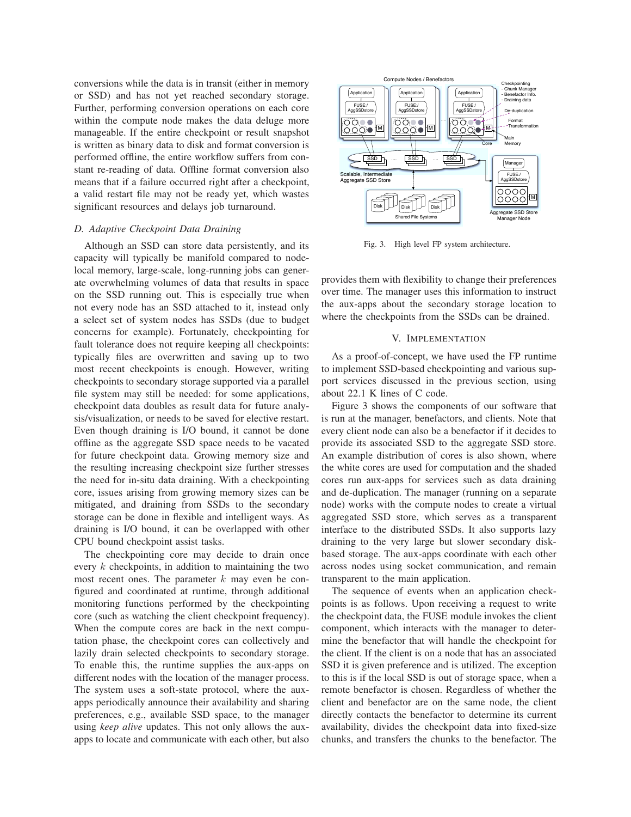conversions while the data is in transit (either in memory or SSD) and has not yet reached secondary storage. Further, performing conversion operations on each core within the compute node makes the data deluge more manageable. If the entire checkpoint or result snapshot is written as binary data to disk and format conversion is performed offline, the entire workflow suffers from constant re-reading of data. Offline format conversion also means that if a failure occurred right after a checkpoint, a valid restart file may not be ready yet, which wastes significant resources and delays job turnaround.

# *D. Adaptive Checkpoint Data Draining*

Although an SSD can store data persistently, and its capacity will typically be manifold compared to nodelocal memory, large-scale, long-running jobs can generate overwhelming volumes of data that results in space on the SSD running out. This is especially true when not every node has an SSD attached to it, instead only a select set of system nodes has SSDs (due to budget concerns for example). Fortunately, checkpointing for fault tolerance does not require keeping all checkpoints: typically files are overwritten and saving up to two most recent checkpoints is enough. However, writing checkpoints to secondary storage supported via a parallel file system may still be needed: for some applications, checkpoint data doubles as result data for future analysis/visualization, or needs to be saved for elective restart. Even though draining is I/O bound, it cannot be done offline as the aggregate SSD space needs to be vacated for future checkpoint data. Growing memory size and the resulting increasing checkpoint size further stresses the need for in-situ data draining. With a checkpointing core, issues arising from growing memory sizes can be mitigated, and draining from SSDs to the secondary storage can be done in flexible and intelligent ways. As draining is I/O bound, it can be overlapped with other CPU bound checkpoint assist tasks.

The checkpointing core may decide to drain once every  $k$  checkpoints, in addition to maintaining the two most recent ones. The parameter  $k$  may even be configured and coordinated at runtime, through additional monitoring functions performed by the checkpointing core (such as watching the client checkpoint frequency). When the compute cores are back in the next computation phase, the checkpoint cores can collectively and lazily drain selected checkpoints to secondary storage. To enable this, the runtime supplies the aux-apps on different nodes with the location of the manager process. The system uses a soft-state protocol, where the auxapps periodically announce their availability and sharing preferences, e.g., available SSD space, to the manager using *keep alive* updates. This not only allows the auxapps to locate and communicate with each other, but also



Fig. 3. High level FP system architecture.

provides them with flexibility to change their preferences over time. The manager uses this information to instruct the aux-apps about the secondary storage location to where the checkpoints from the SSDs can be drained.

# V. IMPLEMENTATION

As a proof-of-concept, we have used the FP runtime to implement SSD-based checkpointing and various support services discussed in the previous section, using about 22.1 K lines of C code.

Figure 3 shows the components of our software that is run at the manager, benefactors, and clients. Note that every client node can also be a benefactor if it decides to provide its associated SSD to the aggregate SSD store. An example distribution of cores is also shown, where the white cores are used for computation and the shaded cores run aux-apps for services such as data draining and de-duplication. The manager (running on a separate node) works with the compute nodes to create a virtual aggregated SSD store, which serves as a transparent interface to the distributed SSDs. It also supports lazy draining to the very large but slower secondary diskbased storage. The aux-apps coordinate with each other across nodes using socket communication, and remain transparent to the main application.

The sequence of events when an application checkpoints is as follows. Upon receiving a request to write the checkpoint data, the FUSE module invokes the client component, which interacts with the manager to determine the benefactor that will handle the checkpoint for the client. If the client is on a node that has an associated SSD it is given preference and is utilized. The exception to this is if the local SSD is out of storage space, when a remote benefactor is chosen. Regardless of whether the client and benefactor are on the same node, the client directly contacts the benefactor to determine its current availability, divides the checkpoint data into fixed-size chunks, and transfers the chunks to the benefactor. The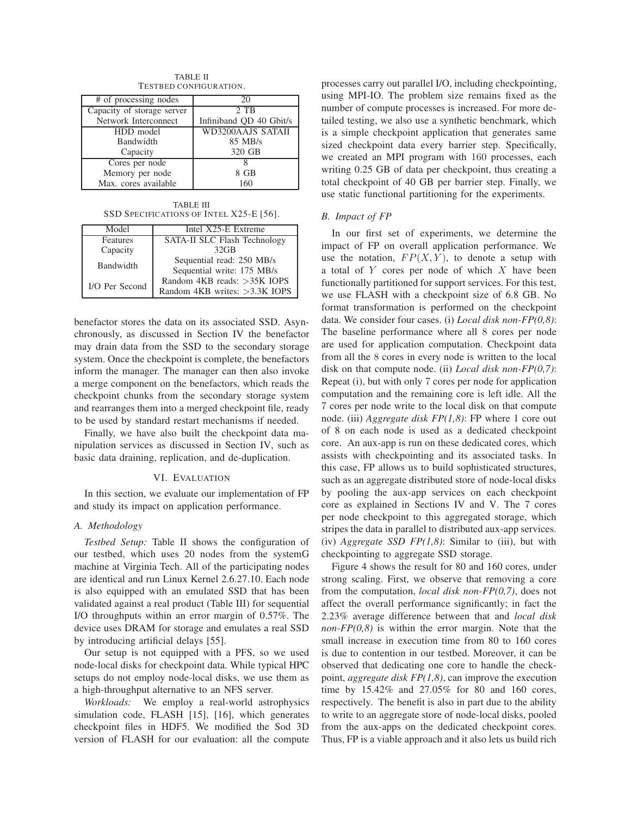| # of processing nodes      | 20                       |  |
|----------------------------|--------------------------|--|
| Capacity of storage server | $2$ TB                   |  |
| Network Interconnect       | Infiniband OD 40 Gbit/s  |  |
| HDD model                  | <b>WD3200AAJS SATAII</b> |  |
| Bandwidth                  | 85 MB/s                  |  |
| Capacity                   | 320 GB                   |  |
| Cores per node             |                          |  |
| Memory per node            | 8 GB                     |  |
| Max. cores available       | 160                      |  |

TABLE II TESTBED CONFIGURATION.

TABLE III SSD SPECIFICATIONS OF INTEL X25-E [56].

| <b>Intel X25-E Extreme</b>    |  |  |
|-------------------------------|--|--|
| SATA-II SLC Flash Technology  |  |  |
| $32$ GB                       |  |  |
| Sequential read: 250 MB/s     |  |  |
| Sequential write: 175 MB/s    |  |  |
| Random 4KB reads: > 35K IOPS  |  |  |
| Random 4KB writes: >3.3K IOPS |  |  |
|                               |  |  |

benefactor stores the data on its associated SSD. Asynchronously, as discussed in Section IV the benefactor may drain data from the SSD to the secondary storage system. Once the checkpoint is complete, the benefactors inform the manager. The manager can then also invoke a merge component on the benefactors, which reads the checkpoint chunks from the secondary storage system and rearranges them into a merged checkpoint file, ready to be used by standard restart mechanisms if needed.

Finally, we have also built the checkpoint data manipulation services as discussed in Section IV, such as basic data draining, replication, and de-duplication.

# VI. EVALUATION

In this section, we evaluate our implementation of FP and study its impact on application performance.

# *A. Methodology*

*Testbed Setup:* Table II shows the configuration of our testbed, which uses 20 nodes from the systemG machine at Virginia Tech. All of the participating nodes are identical and run Linux Kernel 2.6.27.10. Each node is also equipped with an emulated SSD that has been validated against a real product (Table III) for sequential I/O throughputs within an error margin of 0.57%. The device uses DRAM for storage and emulates a real SSD by introducing artificial delays [55].

Our setup is not equipped with a PFS, so we used node-local disks for checkpoint data. While typical HPC setups do not employ node-local disks, we use them as a high-throughput alternative to an NFS server.

*Workloads:* We employ a real-world astrophysics simulation code, FLASH [15], [16], which generates checkpoint files in HDF5. We modified the Sod 3D version of FLASH for our evaluation: all the compute processes carry out parallel I/O, including checkpointing, using MPI-IO. The problem size remains fixed as the number of compute processes is increased. For more detailed testing, we also use a synthetic benchmark, which is a simple checkpoint application that generates same sized checkpoint data every barrier step. Specifically, we created an MPI program with 160 processes, each writing 0.25 GB of data per checkpoint, thus creating a total checkpoint of 40 GB per barrier step. Finally, we use static functional partitioning for the experiments.

### *B. Impact of FP*

In our first set of experiments, we determine the impact of FP on overall application performance. We use the notation,  $FP(X, Y)$ , to denote a setup with a total of  $Y$  cores per node of which  $X$  have been functionally partitioned for support services. For this test, we use FLASH with a checkpoint size of 6.8 GB. No format transformation is performed on the checkpoint data. We consider four cases. (i) *Local disk non-FP(0,8)*: The baseline performance where all 8 cores per node are used for application computation. Checkpoint data from all the 8 cores in every node is written to the local disk on that compute node. (ii) *Local disk non-FP(0,7)*: Repeat (i), but with only 7 cores per node for application computation and the remaining core is left idle. All the 7 cores per node write to the local disk on that compute node. (iii) *Aggregate disk FP(1,8)*: FP where 1 core out of 8 on each node is used as a dedicated checkpoint core. An aux-app is run on these dedicated cores, which assists with checkpointing and its associated tasks. In this case, FP allows us to build sophisticated structures, such as an aggregate distributed store of node-local disks by pooling the aux-app services on each checkpoint core as explained in Sections IV and V. The 7 cores per node checkpoint to this aggregated storage, which stripes the data in parallel to distributed aux-app services. (iv) *Aggregate SSD FP(1,8)*: Similar to (iii), but with checkpointing to aggregate SSD storage.

Figure 4 shows the result for 80 and 160 cores, under strong scaling. First, we observe that removing a core from the computation, *local disk non-FP(0,7)*, does not affect the overall performance significantly; in fact the 2.23% average difference between that and *local disk non-FP(0,8)* is within the error margin. Note that the small increase in execution time from 80 to 160 cores is due to contention in our testbed. Moreover, it can be observed that dedicating one core to handle the checkpoint, *aggregate disk FP(1,8)*, can improve the execution time by 15.42% and 27.05% for 80 and 160 cores, respectively. The benefit is also in part due to the ability to write to an aggregate store of node-local disks, pooled from the aux-apps on the dedicated checkpoint cores. Thus, FP is a viable approach and it also lets us build rich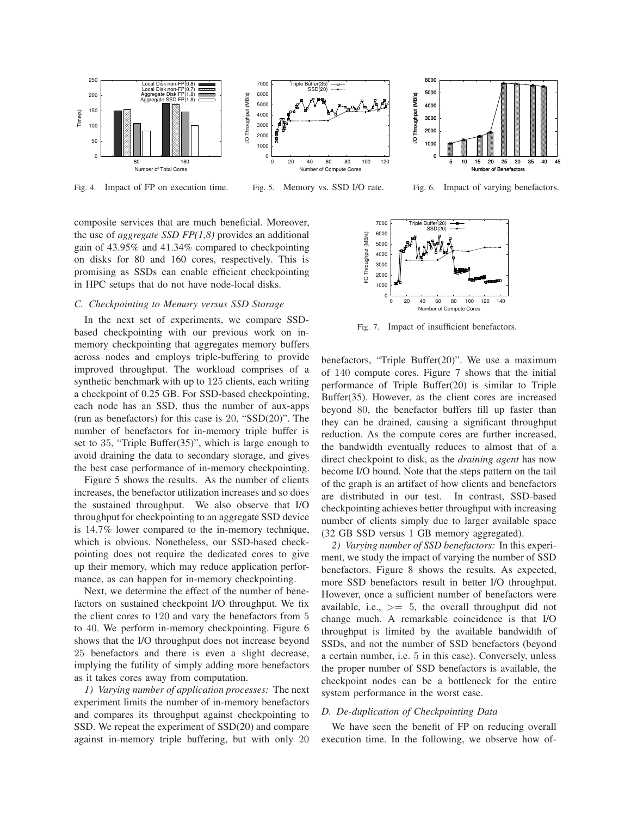

Fig. 4. Impact of FP on execution time.



Fig. 5. Memory vs. SSD I/O rate.



Fig. 6. Impact of varying benefactors.

composite services that are much beneficial. Moreover, the use of *aggregate SSD FP(1,8)* provides an additional gain of 43.95% and 41.34% compared to checkpointing on disks for 80 and 160 cores, respectively. This is promising as SSDs can enable efficient checkpointing in HPC setups that do not have node-local disks.

# *C. Checkpointing to Memory versus SSD Storage*

In the next set of experiments, we compare SSDbased checkpointing with our previous work on inmemory checkpointing that aggregates memory buffers across nodes and employs triple-buffering to provide improved throughput. The workload comprises of a synthetic benchmark with up to 125 clients, each writing a checkpoint of 0.25 GB. For SSD-based checkpointing, each node has an SSD, thus the number of aux-apps (run as benefactors) for this case is 20, "SSD(20)". The number of benefactors for in-memory triple buffer is set to 35, "Triple Buffer(35)", which is large enough to avoid draining the data to secondary storage, and gives the best case performance of in-memory checkpointing.

Figure 5 shows the results. As the number of clients increases, the benefactor utilization increases and so does the sustained throughput. We also observe that I/O throughput for checkpointing to an aggregate SSD device is 14.7% lower compared to the in-memory technique, which is obvious. Nonetheless, our SSD-based checkpointing does not require the dedicated cores to give up their memory, which may reduce application performance, as can happen for in-memory checkpointing.

Next, we determine the effect of the number of benefactors on sustained checkpoint I/O throughput. We fix the client cores to 120 and vary the benefactors from 5 to 40. We perform in-memory checkpointing. Figure 6 shows that the I/O throughput does not increase beyond 25 benefactors and there is even a slight decrease, implying the futility of simply adding more benefactors as it takes cores away from computation.

*1) Varying number of application processes:* The next experiment limits the number of in-memory benefactors and compares its throughput against checkpointing to SSD. We repeat the experiment of SSD(20) and compare against in-memory triple buffering, but with only 20



Fig. 7. Impact of insufficient benefactors.

benefactors, "Triple Buffer(20)". We use a maximum of 140 compute cores. Figure 7 shows that the initial performance of Triple Buffer(20) is similar to Triple Buffer(35). However, as the client cores are increased beyond 80, the benefactor buffers fill up faster than they can be drained, causing a significant throughput reduction. As the compute cores are further increased, the bandwidth eventually reduces to almost that of a direct checkpoint to disk, as the *draining agent* has now become I/O bound. Note that the steps pattern on the tail of the graph is an artifact of how clients and benefactors are distributed in our test. In contrast, SSD-based checkpointing achieves better throughput with increasing number of clients simply due to larger available space (32 GB SSD versus 1 GB memory aggregated).

*2) Varying number of SSD benefactors:* In this experiment, we study the impact of varying the number of SSD benefactors. Figure 8 shows the results. As expected, more SSD benefactors result in better I/O throughput. However, once a sufficient number of benefactors were available, i.e.,  $>= 5$ , the overall throughput did not change much. A remarkable coincidence is that I/O throughput is limited by the available bandwidth of SSDs, and not the number of SSD benefactors (beyond a certain number, i.e. 5 in this case). Conversely, unless the proper number of SSD benefactors is available, the checkpoint nodes can be a bottleneck for the entire system performance in the worst case.

# *D. De-duplication of Checkpointing Data*

We have seen the benefit of FP on reducing overall execution time. In the following, we observe how of-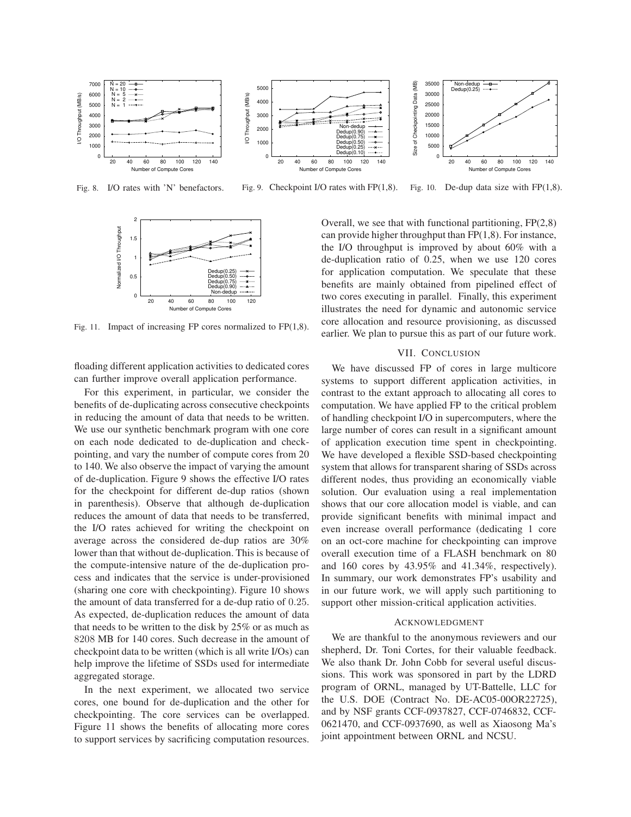

Fig. 8. I/O rates with 'N' benefactors.

Fig. 9. Checkpoint I/O rates with FP(1,8). Fig. 10. De-dup data size with FP(1,8).



Fig. 11. Impact of increasing FP cores normalized to FP(1,8).

floading different application activities to dedicated cores can further improve overall application performance.

For this experiment, in particular, we consider the benefits of de-duplicating across consecutive checkpoints in reducing the amount of data that needs to be written. We use our synthetic benchmark program with one core on each node dedicated to de-duplication and checkpointing, and vary the number of compute cores from 20 to 140. We also observe the impact of varying the amount of de-duplication. Figure 9 shows the effective I/O rates for the checkpoint for different de-dup ratios (shown in parenthesis). Observe that although de-duplication reduces the amount of data that needs to be transferred, the I/O rates achieved for writing the checkpoint on average across the considered de-dup ratios are 30% lower than that without de-duplication. This is because of the compute-intensive nature of the de-duplication process and indicates that the service is under-provisioned (sharing one core with checkpointing). Figure 10 shows the amount of data transferred for a de-dup ratio of 0.25. As expected, de-duplication reduces the amount of data that needs to be written to the disk by 25% or as much as 8208 MB for 140 cores. Such decrease in the amount of checkpoint data to be written (which is all write I/Os) can help improve the lifetime of SSDs used for intermediate aggregated storage.

In the next experiment, we allocated two service cores, one bound for de-duplication and the other for checkpointing. The core services can be overlapped. Figure 11 shows the benefits of allocating more cores to support services by sacrificing computation resources.

Overall, we see that with functional partitioning, FP(2,8) can provide higher throughput than FP(1,8). For instance, the I/O throughput is improved by about 60% with a de-duplication ratio of 0.25, when we use 120 cores for application computation. We speculate that these benefits are mainly obtained from pipelined effect of two cores executing in parallel. Finally, this experiment illustrates the need for dynamic and autonomic service core allocation and resource provisioning, as discussed earlier. We plan to pursue this as part of our future work.

## VII. CONCLUSION

We have discussed FP of cores in large multicore systems to support different application activities, in contrast to the extant approach to allocating all cores to computation. We have applied FP to the critical problem of handling checkpoint I/O in supercomputers, where the large number of cores can result in a significant amount of application execution time spent in checkpointing. We have developed a flexible SSD-based checkpointing system that allows for transparent sharing of SSDs across different nodes, thus providing an economically viable solution. Our evaluation using a real implementation shows that our core allocation model is viable, and can provide significant benefits with minimal impact and even increase overall performance (dedicating 1 core on an oct-core machine for checkpointing can improve overall execution time of a FLASH benchmark on 80 and 160 cores by 43.95% and 41.34%, respectively). In summary, our work demonstrates FP's usability and in our future work, we will apply such partitioning to support other mission-critical application activities.

#### ACKNOWLEDGMENT

We are thankful to the anonymous reviewers and our shepherd, Dr. Toni Cortes, for their valuable feedback. We also thank Dr. John Cobb for several useful discussions. This work was sponsored in part by the LDRD program of ORNL, managed by UT-Battelle, LLC for the U.S. DOE (Contract No. DE-AC05-00OR22725), and by NSF grants CCF-0937827, CCF-0746832, CCF-0621470, and CCF-0937690, as well as Xiaosong Ma's joint appointment between ORNL and NCSU.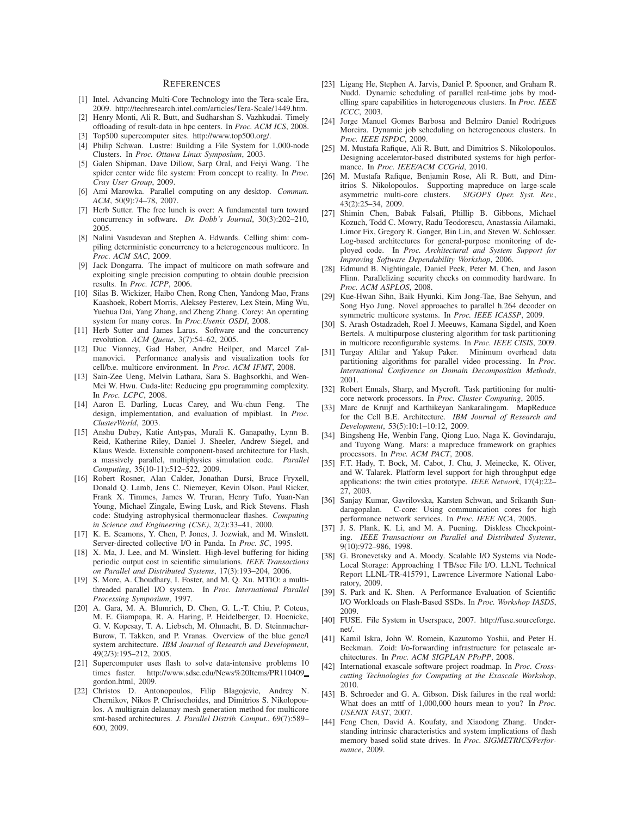#### **REFERENCES**

- [1] Intel. Advancing Multi-Core Technology into the Tera-scale Era, 2009. http://techresearch.intel.com/articles/Tera-Scale/1449.htm.
- [2] Henry Monti, Ali R. Butt, and Sudharshan S. Vazhkudai. Timely offloading of result-data in hpc centers. In *Proc. ACM ICS*, 2008.
- [3] Top500 supercomputer sites. http://www.top500.org/.
- [4] Philip Schwan. Lustre: Building a File System for 1,000-node Clusters. In *Proc. Ottawa Linux Symposium*, 2003.
- [5] Galen Shipman, Dave Dillow, Sarp Oral, and Feiyi Wang. The spider center wide file system: From concept to reality. In *Proc. Cray User Group*, 2009.
- [6] Ami Marowka. Parallel computing on any desktop. *Commun. ACM*, 50(9):74–78, 2007.
- [7] Herb Sutter. The free lunch is over: A fundamental turn toward concurrency in software. *Dr. Dobb's Journal*, 30(3):202–210, 2005.
- [8] Nalini Vasudevan and Stephen A. Edwards. Celling shim: compiling deterministic concurrency to a heterogeneous multicore. In *Proc. ACM SAC*, 2009.
- [9] Jack Dongarra. The impact of multicore on math software and exploiting single precision computing to obtain double precision results. In *Proc. ICPP*, 2006.
- [10] Silas B. Wickizer, Haibo Chen, Rong Chen, Yandong Mao, Frans Kaashoek, Robert Morris, Aleksey Pesterev, Lex Stein, Ming Wu, Yuehua Dai, Yang Zhang, and Zheng Zhang. Corey: An operating system for many cores. In *Proc.Usenix OSDI*, 2008.
- [11] Herb Sutter and James Larus. Software and the concurrency revolution. *ACM Queue*, 3(7):54–62, 2005.
- [12] Duc Vianney, Gad Haber, Andre Heilper, and Marcel Zalmanovici. Performance analysis and visualization tools for cell/b.e. multicore environment. In *Proc. ACM IFMT*, 2008.
- [13] Sain-Zee Ueng, Melvin Lathara, Sara S. Baghsorkhi, and Wen-Mei W. Hwu. Cuda-lite: Reducing gpu programming complexity. In *Proc. LCPC*, 2008.
- [14] Aaron E. Darling, Lucas Carey, and Wu-chun Feng. The design, implementation, and evaluation of mpiblast. In *Proc. ClusterWorld*, 2003.
- [15] Anshu Dubey, Katie Antypas, Murali K. Ganapathy, Lynn B. Reid, Katherine Riley, Daniel J. Sheeler, Andrew Siegel, and Klaus Weide. Extensible component-based architecture for Flash, a massively parallel, multiphysics simulation code. *Parallel Computing*, 35(10-11):512–522, 2009.
- [16] Robert Rosner, Alan Calder, Jonathan Dursi, Bruce Fryxell, Donald Q. Lamb, Jens C. Niemeyer, Kevin Olson, Paul Ricker, Frank X. Timmes, James W. Truran, Henry Tufo, Yuan-Nan Young, Michael Zingale, Ewing Lusk, and Rick Stevens. Flash code: Studying astrophysical thermonuclear flashes. *Computing in Science and Engineering (CSE)*, 2(2):33–41, 2000.
- [17] K. E. Seamons, Y. Chen, P. Jones, J. Jozwiak, and M. Winslett. Server-directed collective I/O in Panda. In *Proc. SC*, 1995.
- [18] X. Ma, J. Lee, and M. Winslett. High-level buffering for hiding periodic output cost in scientific simulations. *IEEE Transactions on Parallel and Distributed Systems*, 17(3):193–204, 2006.
- [19] S. More, A. Choudhary, I. Foster, and M. Q. Xu. MTIO: a multithreaded parallel I/O system. In *Proc. International Parallel Processing Symposium*, 1997.
- [20] A. Gara, M. A. Blumrich, D. Chen, G. L.-T. Chiu, P. Coteus, M. E. Giampapa, R. A. Haring, P. Heidelberger, D. Hoenicke, G. V. Kopcsay, T. A. Liebsch, M. Ohmacht, B. D. Steinmacher-Burow, T. Takken, and P. Vranas. Overview of the blue gene/l system architecture. *IBM Journal of Research and Development*, 49(2/3):195–212, 2005.
- [21] Supercomputer uses flash to solve data-intensive problems 10 times faster. http://www.sdsc.edu/News%20Items/PR110409 gordon.html, 2009.
- [22] Christos D. Antonopoulos, Filip Blagojevic, Andrey N. Chernikov, Nikos P. Chrisochoides, and Dimitrios S. Nikolopoulos. A multigrain delaunay mesh generation method for multicore smt-based architectures. *J. Parallel Distrib. Comput.*, 69(7):589– 600, 2009.
- [23] Ligang He, Stephen A. Jarvis, Daniel P. Spooner, and Graham R. Nudd. Dynamic scheduling of parallel real-time jobs by modelling spare capabilities in heterogeneous clusters. In *Proc. IEEE ICCC*, 2003.
- [24] Jorge Manuel Gomes Barbosa and Belmiro Daniel Rodrigues Moreira. Dynamic job scheduling on heterogeneous clusters. In *Proc. IEEE ISPDC*, 2009.
- [25] M. Mustafa Rafique, Ali R. Butt, and Dimitrios S. Nikolopoulos. Designing accelerator-based distributed systems for high performance. In *Proc. IEEE/ACM CCGrid*, 2010.
- [26] M. Mustafa Rafique, Benjamin Rose, Ali R. Butt, and Dimitrios S. Nikolopoulos. Supporting mapreduce on large-scale asymmetric multi-core clusters. *SIGOPS Oper. Syst. Rev.*, 43(2):25–34, 2009.
- [27] Shimin Chen, Babak Falsafi, Phillip B. Gibbons, Michael Kozuch, Todd C. Mowry, Radu Teodorescu, Anastassia Ailamaki, Limor Fix, Gregory R. Ganger, Bin Lin, and Steven W. Schlosser. Log-based architectures for general-purpose monitoring of deployed code. In *Proc. Architectural and System Support for Improving Software Dependability Workshop*, 2006.
- [28] Edmund B. Nightingale, Daniel Peek, Peter M. Chen, and Jason Flinn. Parallelizing security checks on commodity hardware. In *Proc. ACM ASPLOS*, 2008.
- [29] Kue-Hwan Sihn, Baik Hyunki, Kim Jong-Tae, Bae Sehyun, and Song Hyo Jung. Novel approaches to parallel h.264 decoder on symmetric multicore systems. In *Proc. IEEE ICASSP*, 2009.
- [30] S. Arash Ostadzadeh, Roel J. Meeuws, Kamana Sigdel, and Koen Bertels. A multipurpose clustering algorithm for task partitioning in multicore reconfigurable systems. In *Proc. IEEE CISIS*, 2009.
- [31] Turgay Altilar and Yakup Paker. Minimum overhead data partitioning algorithms for parallel video processing. In *Proc. International Conference on Domain Decomposition Methods*, 2001.
- [32] Robert Ennals, Sharp, and Mycroft. Task partitioning for multicore network processors. In *Proc. Cluster Computing*, 2005.
- [33] Marc de Kruijf and Karthikeyan Sankaralingam. MapReduce for the Cell B.E. Architecture. *IBM Journal of Research and Development*, 53(5):10:1–10:12, 2009.
- [34] Bingsheng He, Wenbin Fang, Qiong Luo, Naga K. Govindaraju, and Tuyong Wang. Mars: a mapreduce framework on graphics processors. In *Proc. ACM PACT*, 2008.
- [35] F.T. Hady, T. Bock, M. Cabot, J. Chu, J. Meinecke, K. Oliver, and W. Talarek. Platform level support for high throughput edge applications: the twin cities prototype. *IEEE Network*, 17(4):22– 27, 2003.
- [36] Sanjay Kumar, Gavrilovska, Karsten Schwan, and Srikanth Sundaragopalan. C-core: Using communication cores for high performance network services. In *Proc. IEEE NCA*, 2005.
- [37] J. S. Plank, K. Li, and M. A. Puening. Diskless Checkpointing. *IEEE Transactions on Parallel and Distributed Systems*, 9(10):972–986, 1998.
- [38] G. Bronevetsky and A. Moody. Scalable I/O Systems via Node-Local Storage: Approaching 1 TB/sec File I/O. LLNL Technical Report LLNL-TR-415791, Lawrence Livermore National Laboratory, 2009.
- [39] S. Park and K. Shen. A Performance Evaluation of Scientific I/O Workloads on Flash-Based SSDs. In *Proc. Workshop IASDS*, 2009.
- [40] FUSE. File System in Userspace, 2007. http://fuse.sourceforge. net/.
- [41] Kamil Iskra, John W. Romein, Kazutomo Yoshii, and Peter H. Beckman. Zoid: I/o-forwarding infrastructure for petascale architectures. In *Proc. ACM SIGPLAN PPoPP*, 2008.
- [42] International exascale software project roadmap. In *Proc. Crosscutting Technologies for Computing at the Exascale Workshop*, 2010.
- [43] B. Schroeder and G. A. Gibson. Disk failures in the real world: What does an mttf of 1,000,000 hours mean to you? In *Proc. USENIX FAST*, 2007.
- [44] Feng Chen, David A. Koufaty, and Xiaodong Zhang. Understanding intrinsic characteristics and system implications of flash memory based solid state drives. In *Proc. SIGMETRICS/Performance*, 2009.